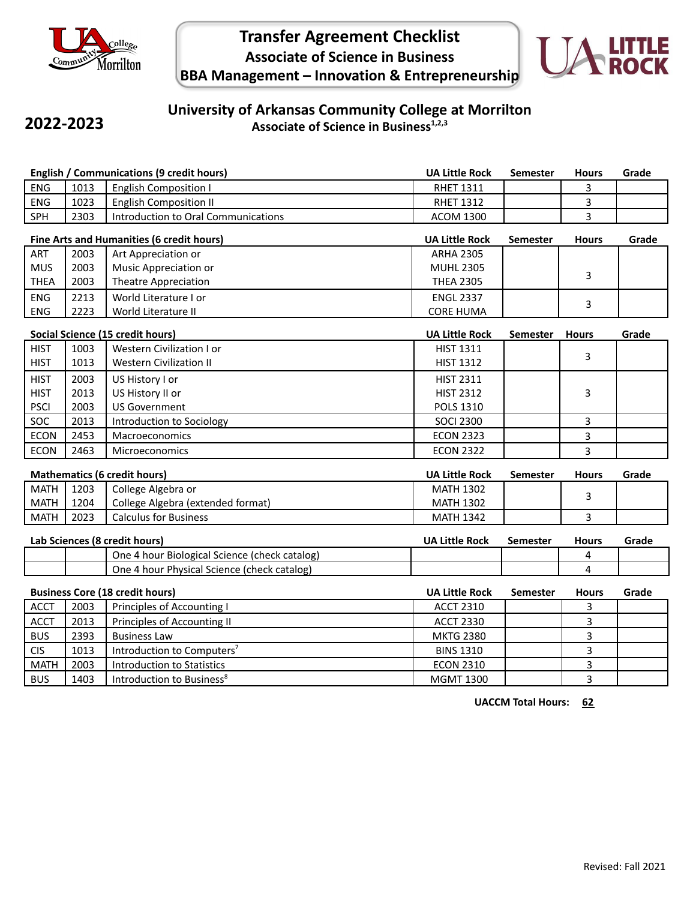

**2022-2023**

# **Transfer Agreement Checklist Associate of Science in Business BBA Management – Innovation & Entrepreneurship**



### **University of Arkansas Community College at Morrilton Associate of Science in Business1,2,3**

|                                        |                                           | <b>English / Communications (9 credit hours)</b> | <b>UA Little Rock</b> | <b>Semester</b> | <b>Hours</b> | Grade |
|----------------------------------------|-------------------------------------------|--------------------------------------------------|-----------------------|-----------------|--------------|-------|
| ENG                                    | 1013                                      | <b>English Composition I</b>                     | <b>RHET 1311</b>      |                 | 3            |       |
| ENG                                    | 1023                                      | <b>English Composition II</b>                    | <b>RHET 1312</b>      |                 | 3            |       |
| SPH                                    | 2303                                      | Introduction to Oral Communications              | <b>ACOM 1300</b>      |                 | 3            |       |
|                                        | Fine Arts and Humanities (6 credit hours) |                                                  |                       | Semester        | <b>Hours</b> | Grade |
| ART                                    | 2003                                      | Art Appreciation or                              | <b>ARHA 2305</b>      |                 |              |       |
| <b>MUS</b>                             | 2003                                      | <b>Music Appreciation or</b>                     | <b>MUHL 2305</b>      |                 | 3            |       |
| <b>THEA</b>                            | 2003                                      | <b>Theatre Appreciation</b>                      | <b>THEA 2305</b>      |                 |              |       |
| <b>ENG</b>                             | 2213                                      | World Literature I or                            | <b>ENGL 2337</b>      |                 | 3            |       |
| ENG                                    | 2223                                      | World Literature II                              | <b>CORE HUMA</b>      |                 |              |       |
| Social Science (15 credit hours)       |                                           |                                                  | <b>UA Little Rock</b> | <b>Semester</b> | <b>Hours</b> | Grade |
| <b>HIST</b>                            | 1003                                      | Western Civilization I or                        | <b>HIST 1311</b>      |                 |              |       |
| <b>HIST</b>                            | 1013                                      | <b>Western Civilization II</b>                   | <b>HIST 1312</b>      |                 | 3            |       |
| <b>HIST</b>                            | 2003                                      | US History I or                                  | <b>HIST 2311</b>      |                 |              |       |
| <b>HIST</b>                            | 2013                                      | US History II or                                 | <b>HIST 2312</b>      |                 | 3            |       |
| <b>PSCI</b>                            | 2003                                      | <b>US Government</b>                             | POLS 1310             |                 |              |       |
| SOC                                    | 2013                                      | Introduction to Sociology                        | <b>SOCI 2300</b>      |                 | 3            |       |
| <b>ECON</b>                            | 2453                                      | Macroeconomics                                   | <b>ECON 2323</b>      |                 | 3            |       |
| <b>ECON</b>                            | 2463                                      | Microeconomics                                   | <b>ECON 2322</b>      |                 | 3            |       |
| <b>Mathematics (6 credit hours)</b>    |                                           |                                                  | <b>UA Little Rock</b> | Semester        | <b>Hours</b> | Grade |
| <b>MATH</b>                            | 1203                                      | College Algebra or                               | <b>MATH 1302</b>      |                 |              |       |
| <b>MATH</b>                            | 1204                                      | College Algebra (extended format)                | <b>MATH 1302</b>      |                 | 3            |       |
| <b>MATH</b>                            | 2023                                      | <b>Calculus for Business</b>                     | <b>MATH 1342</b>      |                 | 3            |       |
|                                        | Lab Sciences (8 credit hours)             |                                                  |                       | <b>Semester</b> | <b>Hours</b> | Grade |
|                                        |                                           | One 4 hour Biological Science (check catalog)    |                       |                 | 4            |       |
|                                        |                                           | One 4 hour Physical Science (check catalog)      |                       |                 | 4            |       |
| <b>Business Core (18 credit hours)</b> |                                           |                                                  | <b>UA Little Rock</b> | <b>Semester</b> | <b>Hours</b> | Grade |
| <b>ACCT</b>                            | 2003                                      | Principles of Accounting I                       | <b>ACCT 2310</b>      |                 | 3            |       |
| <b>ACCT</b>                            | 2013                                      | Principles of Accounting II                      | <b>ACCT 2330</b>      |                 | 3            |       |
| <b>BUS</b>                             | 2393                                      | <b>Business Law</b>                              | <b>MKTG 2380</b>      |                 | 3            |       |
| <b>CIS</b>                             | 1013                                      | Introduction to Computers <sup>7</sup>           | <b>BINS 1310</b>      |                 | 3            |       |
| <b>MATH</b>                            | 2003                                      | <b>Introduction to Statistics</b>                | <b>ECON 2310</b>      |                 | 3            |       |
| <b>BUS</b>                             | 1403                                      | Introduction to Business <sup>8</sup>            | <b>MGMT 1300</b>      |                 | 3            |       |

**UACCM Total Hours: 62**